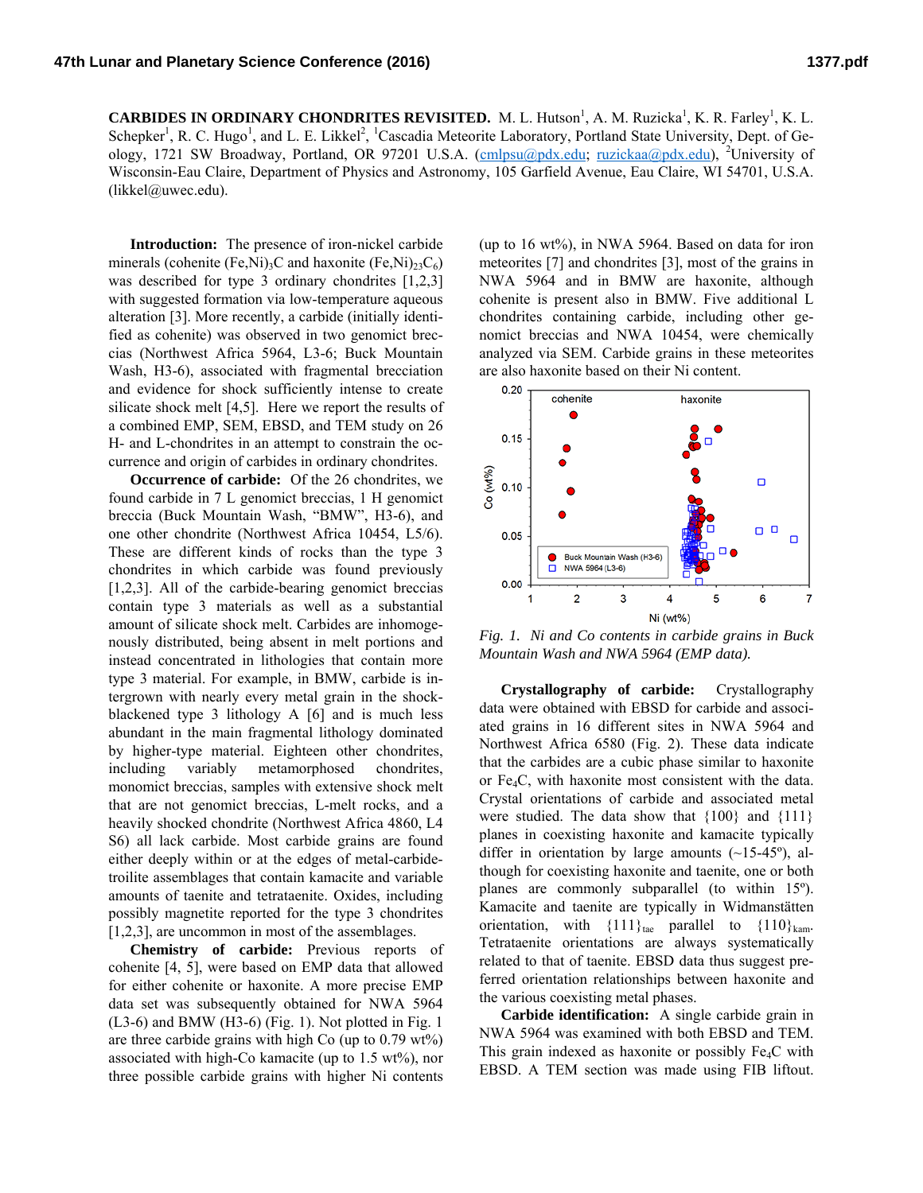**CARBIDES IN ORDINARY CHONDRITES REVISITED.** M. L. Hutson<sup>1</sup>, A. M. Ruzicka<sup>1</sup>, K. R. Farley<sup>1</sup>, K. L. Schepker<sup>1</sup>, R. C. Hugo<sup>1</sup>, and L. E. Likkel<sup>2</sup>, <sup>1</sup>Cascadia Meteorite Laboratory, Portland State University, Dept. of Geology, 1721 SW Broadway, Portland, OR 97201 U.S.A. (cmlpsu@pdx.edu; ruzickaa@pdx.edu), <sup>2</sup>University of Wisconsin-Eau Claire, Department of Physics and Astronomy, 105 Garfield Avenue, Eau Claire, WI 54701, U.S.A. (likkel@uwec.edu).

**Introduction:** The presence of iron-nickel carbide minerals (cohenite (Fe,Ni)<sub>3</sub>C and haxonite (Fe,Ni)<sub>23</sub>C<sub>6</sub>) was described for type 3 ordinary chondrites [1,2,3] with suggested formation via low-temperature aqueous alteration [3]. More recently, a carbide (initially identified as cohenite) was observed in two genomict breccias (Northwest Africa 5964, L3-6; Buck Mountain Wash, H3-6), associated with fragmental brecciation and evidence for shock sufficiently intense to create silicate shock melt [4,5]. Here we report the results of a combined EMP, SEM, EBSD, and TEM study on 26 H- and L-chondrites in an attempt to constrain the occurrence and origin of carbides in ordinary chondrites.

**Occurrence of carbide:** Of the 26 chondrites, we found carbide in 7 L genomict breccias, 1 H genomict breccia (Buck Mountain Wash, "BMW", H3-6), and one other chondrite (Northwest Africa 10454, L5/6). These are different kinds of rocks than the type 3 chondrites in which carbide was found previously [1,2,3]. All of the carbide-bearing genomict breccias contain type 3 materials as well as a substantial amount of silicate shock melt. Carbides are inhomogenously distributed, being absent in melt portions and instead concentrated in lithologies that contain more type 3 material. For example, in BMW, carbide is intergrown with nearly every metal grain in the shockblackened type 3 lithology A [6] and is much less abundant in the main fragmental lithology dominated by higher-type material. Eighteen other chondrites, including variably metamorphosed chondrites, monomict breccias, samples with extensive shock melt that are not genomict breccias, L-melt rocks, and a heavily shocked chondrite (Northwest Africa 4860, L4 S6) all lack carbide. Most carbide grains are found either deeply within or at the edges of metal-carbidetroilite assemblages that contain kamacite and variable amounts of taenite and tetrataenite. Oxides, including possibly magnetite reported for the type 3 chondrites [1,2,3], are uncommon in most of the assemblages.

**Chemistry of carbide:** Previous reports of cohenite [4, 5], were based on EMP data that allowed for either cohenite or haxonite. A more precise EMP data set was subsequently obtained for NWA 5964 (L3-6) and BMW (H3-6) (Fig. 1). Not plotted in Fig. 1 are three carbide grains with high Co (up to  $0.79 \text{ wt\%}$ ) associated with high-Co kamacite (up to  $1.5 \text{ wt\%}$ ), nor three possible carbide grains with higher Ni contents

(up to 16 wt%), in NWA 5964. Based on data for iron meteorites [7] and chondrites [3], most of the grains in NWA 5964 and in BMW are haxonite, although cohenite is present also in BMW. Five additional L chondrites containing carbide, including other genomict breccias and NWA 10454, were chemically analyzed via SEM. Carbide grains in these meteorites are also haxonite based on their Ni content.



*Fig. 1. Ni and Co contents in carbide grains in Buck Mountain Wash and NWA 5964 (EMP data).* 

**Crystallography of carbide:** Crystallography data were obtained with EBSD for carbide and associated grains in 16 different sites in NWA 5964 and Northwest Africa 6580 (Fig. 2). These data indicate that the carbides are a cubic phase similar to haxonite or Fe4C, with haxonite most consistent with the data. Crystal orientations of carbide and associated metal were studied. The data show that  ${100}$  and  ${111}$ planes in coexisting haxonite and kamacite typically differ in orientation by large amounts  $(\sim 15-45^{\circ})$ , although for coexisting haxonite and taenite, one or both planes are commonly subparallel (to within 15º). Kamacite and taenite are typically in Widmanstätten orientation, with  ${111}_{\text{tae}}$  parallel to  ${110}_{\text{kam}}$ . Tetrataenite orientations are always systematically related to that of taenite. EBSD data thus suggest preferred orientation relationships between haxonite and the various coexisting metal phases.

**Carbide identification:** A single carbide grain in NWA 5964 was examined with both EBSD and TEM. This grain indexed as haxonite or possibly  $Fe<sub>4</sub>C$  with EBSD. A TEM section was made using FIB liftout.